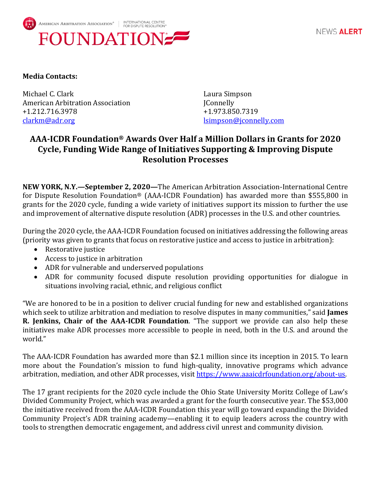

NEWS ALERT

## **Media Contacts:**

Michael C. Clark **Laura Simpson** American Arbitration Association **IConnelly** +1.212.716.3978 +1.973.850.7319 [clarkm@adr.org](mailto:clarkm@adr.org) [lsimpson@jconnelly.com](mailto:lsimpson@jconnelly.com)

## **AAA-ICDR Foundation® Awards Over Half a Million Dollars in Grants for 2020 Cycle, Funding Wide Range of Initiatives Supporting & Improving Dispute Resolution Processes**

**NEW YORK, N.Y.—September 2, 2020—**The American Arbitration Association-International Centre for Dispute Resolution Foundation® (AAA-ICDR Foundation) has awarded more than \$555,800 in grants for the 2020 cycle, funding a wide variety of initiatives support its mission to further the use and improvement of alternative dispute resolution (ADR) processes in the U.S. and other countries.

During the 2020 cycle, the AAA-ICDR Foundation focused on initiatives addressing the following areas (priority was given to grants that focus on restorative justice and access to justice in arbitration):

- Restorative justice
- Access to justice in arbitration
- ADR for vulnerable and underserved populations
- ADR for community focused dispute resolution providing opportunities for dialogue in situations involving racial, ethnic, and religious conflict

"We are honored to be in a position to deliver crucial funding for new and established organizations which seek to utilize arbitration and mediation to resolve disputes in many communities," said **James R. Jenkins, Chair of the AAA-ICDR Foundation**. "The support we provide can also help these initiatives make ADR processes more accessible to people in need, both in the U.S. and around the world."

The AAA-ICDR Foundation has awarded more than \$2.1 million since its inception in 2015. To learn more about the Foundation's mission to fund high-quality, innovative programs which advance arbitration, mediation, and other ADR processes, visit [https://www.aaaicdrfoundation.org/about-us.](https://www.aaaicdrfoundation.org/about-us) 

The 17 grant recipients for the 2020 cycle include the Ohio State University Moritz College of Law's Divided Community Project, which was awarded a grant for the fourth consecutive year. The \$53,000 the initiative received from the AAA-ICDR Foundation this year will go toward expanding the Divided Community Project's ADR training academy—enabling it to equip leaders across the country with tools to strengthen democratic engagement, and address civil unrest and community division.